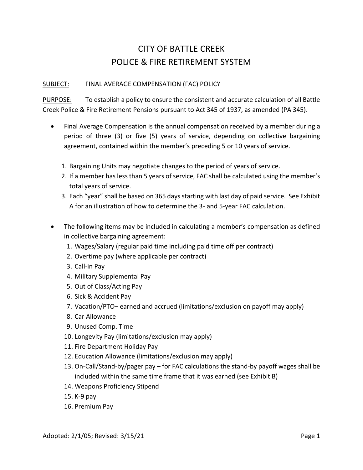## CITY OF BATTLE CREEK POLICE & FIRE RETIREMENT SYSTEM

## SUBJECT: FINAL AVERAGE COMPENSATION (FAC) POLICY

PURPOSE: To establish a policy to ensure the consistent and accurate calculation of all Battle Creek Police & Fire Retirement Pensions pursuant to Act 345 of 1937, as amended (PA 345).

- Final Average Compensation is the annual compensation received by a member during a period of three (3) or five (5) years of service, depending on collective bargaining agreement, contained within the member's preceding 5 or 10 years of service.
	- 1. Bargaining Units may negotiate changes to the period of years of service.
	- 2. If a member has less than 5 years of service, FAC shall be calculated using the member's total years of service.
	- 3. Each "year" shall be based on 365 days starting with last day of paid service. See Exhibit A for an illustration of how to determine the 3- and 5-year FAC calculation.
- The following items may be included in calculating a member's compensation as defined in collective bargaining agreement:
	- 1. Wages/Salary (regular paid time including paid time off per contract)
	- 2. Overtime pay (where applicable per contract)
	- 3. Call-in Pay
	- 4. Military Supplemental Pay
	- 5. Out of Class/Acting Pay
	- 6. Sick & Accident Pay
	- 7. Vacation/PTO– earned and accrued (limitations/exclusion on payoff may apply)
	- 8. Car Allowance
	- 9. Unused Comp. Time
	- 10. Longevity Pay (limitations/exclusion may apply)
	- 11. Fire Department Holiday Pay
	- 12. Education Allowance (limitations/exclusion may apply)
	- 13. On-Call/Stand-by/pager pay for FAC calculations the stand-by payoff wages shall be included within the same time frame that it was earned (see Exhibit B)
	- 14. Weapons Proficiency Stipend
	- 15. K-9 pay
	- 16. Premium Pay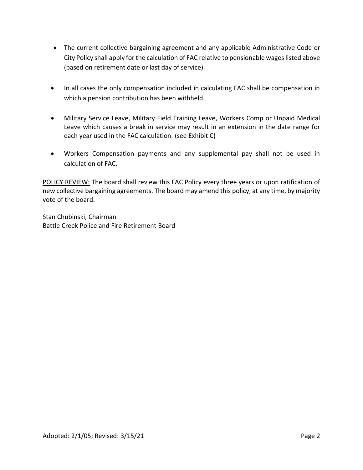- The current collective bargaining agreement and any applicable Administrative Code or City Policy shall apply for the calculation of FAC relative to pensionable wages listed above (based on retirement date or last day of service).
- In all cases the only compensation included in calculating FAC shall be compensation in which a pension contribution has been withheld.
- Military Service Leave, Military Field Training Leave, Workers Comp or Unpaid Medical Leave which causes a break in service may result in an extension in the date range for each year used in the FAC calculation. (see Exhibit C)
- Workers Compensation payments and any supplemental pay shall not be used in calculation of FAC.

POLICY REVIEW: The board shall review this FAC Policy every three years or upon ratification of new collective bargaining agreements. The board may amend this policy, at any time, by majority vote of the board.

Stan Chubinski, Chairman Battle Creek Police and Fire Retirement Board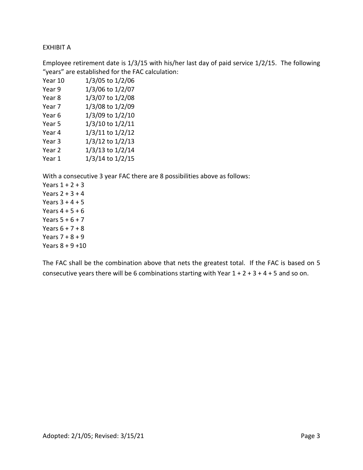## EXHIBIT A

Employee retirement date is 1/3/15 with his/her last day of paid service 1/2/15. The following "years" are established for the FAC calculation:

| Year 10           | 1/3/05 to 1/2/06 |
|-------------------|------------------|
| Year 9            | 1/3/06 to 1/2/07 |
| Year <sub>8</sub> | 1/3/07 to 1/2/08 |
| Year 7            | 1/3/08 to 1/2/09 |
| Year 6            | 1/3/09 to 1/2/10 |
| Year 5            | 1/3/10 to 1/2/11 |
| Year 4            | 1/3/11 to 1/2/12 |
| Year 3            | 1/3/12 to 1/2/13 |
| Year <sub>2</sub> | 1/3/13 to 1/2/14 |
| Year 1            | 1/3/14 to 1/2/15 |

With a consecutive 3 year FAC there are 8 possibilities above as follows:

Years  $1 + 2 + 3$ Years  $2 + 3 + 4$ Years  $3 + 4 + 5$ Years  $4 + 5 + 6$ Years  $5 + 6 + 7$ Years  $6 + 7 + 8$ Years  $7 + 8 + 9$ Years  $8 + 9 + 10$ 

The FAC shall be the combination above that nets the greatest total. If the FAC is based on 5 consecutive years there will be 6 combinations starting with Year  $1 + 2 + 3 + 4 + 5$  and so on.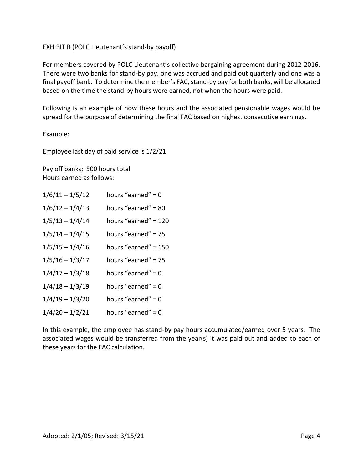## EXHIBIT B (POLC Lieutenant's stand-by payoff)

For members covered by POLC Lieutenant's collective bargaining agreement during 2012-2016. There were two banks for stand-by pay, one was accrued and paid out quarterly and one was a final payoff bank. To determine the member's FAC, stand-by pay for both banks, will be allocated based on the time the stand-by hours were earned, not when the hours were paid.

Following is an example of how these hours and the associated pensionable wages would be spread for the purpose of determining the final FAC based on highest consecutive earnings.

Example:

Employee last day of paid service is 1/2/21

Pay off banks: 500 hours total Hours earned as follows:

| $1/6/11 - 1/5/12$ | hours "earned" = $0$ |
|-------------------|----------------------|
| $1/6/12 - 1/4/13$ | hours "earned" = 80  |
| $1/5/13 - 1/4/14$ | hours "earned" = 120 |
| $1/5/14 - 1/4/15$ | hours "earned" = 75  |
| $1/5/15 - 1/4/16$ | hours "earned" = 150 |
| $1/5/16 - 1/3/17$ | hours "earned" = 75  |
| $1/4/17 - 1/3/18$ | hours "earned" = $0$ |
| $1/4/18 - 1/3/19$ | hours "earned" = $0$ |
| $1/4/19 - 1/3/20$ | hours "earned" = $0$ |
| $1/4/20 - 1/2/21$ | hours "earned" = $0$ |

In this example, the employee has stand-by pay hours accumulated/earned over 5 years. The associated wages would be transferred from the year(s) it was paid out and added to each of these years for the FAC calculation.